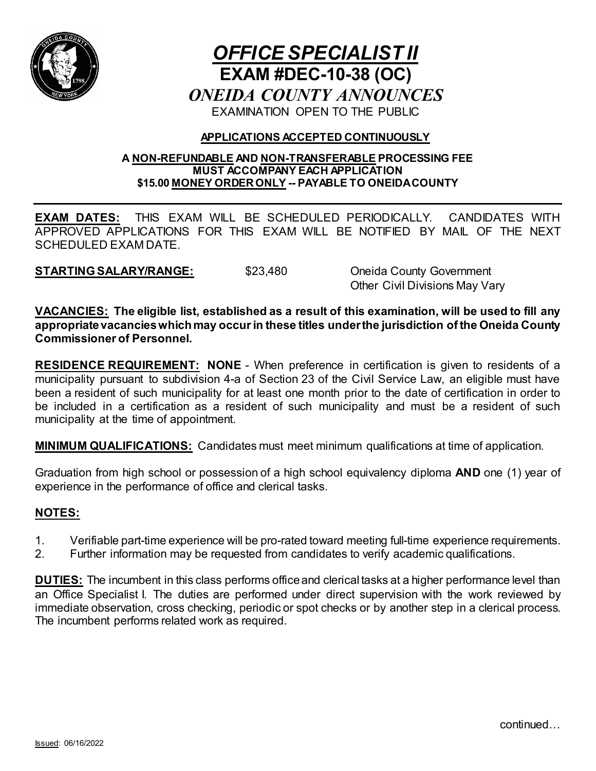

# *OFFICE SPECIALIST II* **EXAM #DEC-10-38 (OC)** *ONEIDA COUNTY ANNOUNCES* EXAMINATION OPEN TO THE PUBLIC

# **APPLICATIONS ACCEPTED CONTINUOUSLY**

#### **A NON-REFUNDABLE AND NON-TRANSFERABLE PROCESSING FEE MUST ACCOMPANY EACH APPLICATION \$15.00 MONEY ORDERONLY -- PAYABLE TO ONEIDA COUNTY**

**EXAM DATES:** THIS EXAM WILL BE SCHEDULED PERIODICALLY. CANDIDATES WITH APPROVED APPLICATIONS FOR THIS EXAM WILL BE NOTIFIED BY MAIL OF THE NEXT SCHEDULED EXAM DATE.

**STARTING SALARY/RANGE:** \$23,480 Oneida County Government

Other Civil Divisions May Vary

**VACANCIES: The eligible list, established as a result of this examination, will be used to fill any appropriate vacancies which may occur in these titles under the jurisdiction of the Oneida County Commissioner of Personnel.**

**RESIDENCE REQUIREMENT: NONE** - When preference in certification is given to residents of a municipality pursuant to subdivision 4-a of Section 23 of the Civil Service Law, an eligible must have been a resident of such municipality for at least one month prior to the date of certification in order to be included in a certification as a resident of such municipality and must be a resident of such municipality at the time of appointment.

**MINIMUM QUALIFICATIONS:** Candidates must meet minimum qualifications at time of application.

Graduation from high school or possession of a high school equivalency diploma **AND** one (1) year of experience in the performance of office and clerical tasks.

# **NOTES:**

- 1. Verifiable part-time experience will be pro-rated toward meeting full-time experience requirements.
- 2. Further information may be requested from candidates to verify academic qualifications.

**DUTIES:** The incumbent in this class performs office and clerical tasks at a higher performance level than an Office Specialist I. The duties are performed under direct supervision with the work reviewed by immediate observation, cross checking, periodic or spot checks or by another step in a clerical process. The incumbent performs related work as required.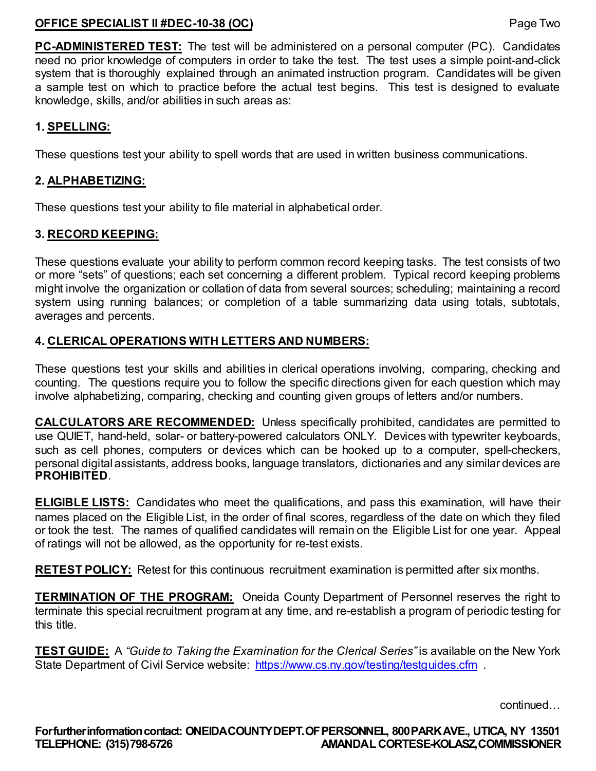# **OFFICE SPECIALIST II #DEC-10-38 (OC)** Page Two

**PC-ADMINISTERED TEST:** The test will be administered on a personal computer (PC). Candidates need no prior knowledge of computers in order to take the test. The test uses a simple point-and-click system that is thoroughly explained through an animated instruction program. Candidates will be given a sample test on which to practice before the actual test begins. This test is designed to evaluate knowledge, skills, and/or abilities in such areas as:

## **1. SPELLING:**

These questions test your ability to spell words that are used in written business communications.

## **2. ALPHABETIZING:**

These questions test your ability to file material in alphabetical order.

# **3. RECORD KEEPING:**

These questions evaluate your ability to perform common record keeping tasks. The test consists of two or more "sets" of questions; each set concerning a different problem. Typical record keeping problems might involve the organization or collation of data from several sources; scheduling; maintaining a record system using running balances; or completion of a table summarizing data using totals, subtotals, averages and percents.

# **4. CLERICAL OPERATIONS WITH LETTERS AND NUMBERS:**

These questions test your skills and abilities in clerical operations involving, comparing, checking and counting. The questions require you to follow the specific directions given for each question which may involve alphabetizing, comparing, checking and counting given groups of letters and/or numbers.

**CALCULATORS ARE RECOMMENDED:** Unless specifically prohibited, candidates are permitted to use QUIET, hand-held, solar- or battery-powered calculators ONLY. Devices with typewriter keyboards, such as cell phones, computers or devices which can be hooked up to a computer, spell-checkers, personal digital assistants, address books, language translators, dictionaries and any similar devices are **PROHIBITED**.

**ELIGIBLE LISTS:** Candidates who meet the qualifications, and pass this examination, will have their names placed on the Eligible List, in the order of final scores, regardless of the date on which they filed or took the test. The names of qualified candidates will remain on the Eligible List for one year. Appeal of ratings will not be allowed, as the opportunity for re-test exists.

**RETEST POLICY:** Retest for this continuous recruitment examination is permitted after six months.

**TERMINATION OF THE PROGRAM:** Oneida County Department of Personnel reserves the right to terminate this special recruitment program at any time, and re-establish a program of periodic testing for this title.

**TEST GUIDE:** A *"Guide to Taking the Examination for the Clerical Series"* is available on the New York State Department of Civil Service website: <https://www.cs.ny.gov/testing/testguides.cfm> .

continued…